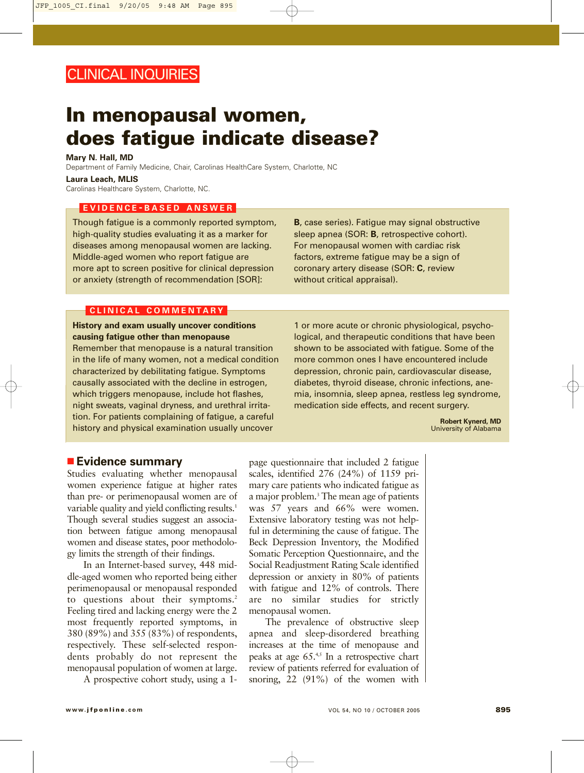# **In menopausal women, does fatigue indicate disease?**

#### **Mary N. Hall, MD**

Department of Family Medicine, Chair, Carolinas HealthCare System, Charlotte, NC

#### **Laura Leach, MLIS**

Carolinas Healthcare System, Charlotte, NC.

#### **EVIDENCE - BASED ANSWER**

Though fatigue is a commonly reported symptom, high-quality studies evaluating it as a marker for diseases among menopausal women are lacking. Middle-aged women who report fatigue are more apt to screen positive for clinical depression or anxiety (strength of recommendation [SOR]:

**B**, case series). Fatigue may signal obstructive sleep apnea (SOR: **B**, retrospective cohort). For menopausal women with cardiac risk factors, extreme fatigue may be a sign of coronary artery disease (SOR: **C**, review without critical appraisal).

#### **CLINICAL COMMENTARY**

**History and exam usually uncover conditions causing fatigue other than menopause**

Remember that menopause is a natural transition in the life of many women, not a medical condition characterized by debilitating fatigue. Symptoms causally associated with the decline in estrogen, which triggers menopause, include hot flashes, night sweats, vaginal dryness, and urethral irritation. For patients complaining of fatigue, a careful history and physical examination usually uncover

1 or more acute or chronic physiological, psychological, and therapeutic conditions that have been shown to be associated with fatigue. Some of the more common ones I have encountered include depression, chronic pain, cardiovascular disease, diabetes, thyroid disease, chronic infections, anemia, insomnia, sleep apnea, restless leg syndrome, medication side effects, and recent surgery.

> **Robert Kynerd, MD** University of Alabama

## ■ **Evidence summary**

Studies evaluating whether menopausal women experience fatigue at higher rates than pre- or perimenopausal women are of variable quality and yield conflicting results.<sup>1</sup> Though several studies suggest an association between fatigue among menopausal women and disease states, poor methodology limits the strength of their findings.

In an Internet-based survey, 448 middle-aged women who reported being either perimenopausal or menopausal responded to questions about their symptoms.<sup>2</sup> Feeling tired and lacking energy were the 2 most frequently reported symptoms, in 380 (89%) and 355 (83%) of respondents, respectively. These self-selected respondents probably do not represent the menopausal population of women at large.

A prospective cohort study, using a 1-

page questionnaire that included 2 fatigue scales, identified 276 (24%) of 1159 primary care patients who indicated fatigue as a major problem.<sup>3</sup> The mean age of patients was 57 years and 66% were women. Extensive laboratory testing was not helpful in determining the cause of fatigue. The Beck Depression Inventory, the Modified Somatic Perception Questionnaire, and the Social Readjustment Rating Scale identified depression or anxiety in 80% of patients with fatigue and 12% of controls. There are no similar studies for strictly menopausal women.

The prevalence of obstructive sleep apnea and sleep-disordered breathing increases at the time of menopause and peaks at age  $65.^{4,5}$  In a retrospective chart review of patients referred for evaluation of snoring, 22 (91%) of the women with